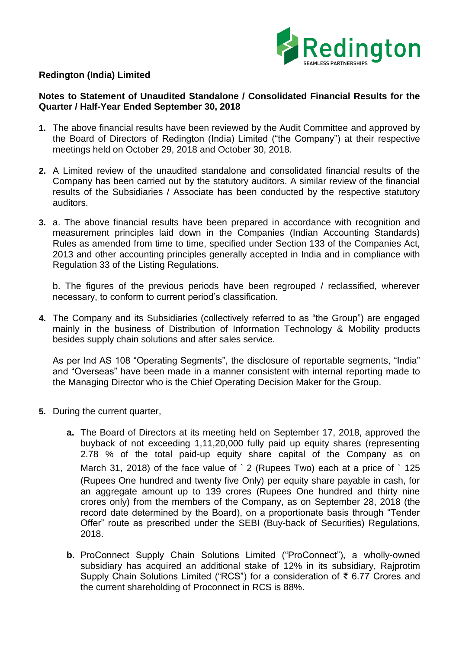

### **Redington (India) Limited**

### **Notes to Statement of Unaudited Standalone / Consolidated Financial Results for the Quarter / Half-Year Ended September 30, 2018**

- **1.** The above financial results have been reviewed by the Audit Committee and approved by the Board of Directors of Redington (India) Limited ("the Company") at their respective meetings held on October 29, 2018 and October 30, 2018.
- **2.** A Limited review of the unaudited standalone and consolidated financial results of the Company has been carried out by the statutory auditors. A similar review of the financial results of the Subsidiaries / Associate has been conducted by the respective statutory auditors.
- **3.** a. The above financial results have been prepared in accordance with recognition and measurement principles laid down in the Companies (Indian Accounting Standards) Rules as amended from time to time, specified under Section 133 of the Companies Act, 2013 and other accounting principles generally accepted in India and in compliance with Regulation 33 of the Listing Regulations.

b. The figures of the previous periods have been regrouped / reclassified, wherever necessary, to conform to current period's classification.

**4.** The Company and its Subsidiaries (collectively referred to as "the Group") are engaged mainly in the business of Distribution of Information Technology & Mobility products besides supply chain solutions and after sales service.

As per Ind AS 108 "Operating Segments", the disclosure of reportable segments, "India" and "Overseas" have been made in a manner consistent with internal reporting made to the Managing Director who is the Chief Operating Decision Maker for the Group.

- **5.** During the current quarter,
	- **a.** The Board of Directors at its meeting held on September 17, 2018, approved the buyback of not exceeding 1,11,20,000 fully paid up equity shares (representing 2.78 % of the total paid-up equity share capital of the Company as on March 31, 2018) of the face value of ` 2 (Rupees Two) each at a price of ` 125 (Rupees One hundred and twenty five Only) per equity share payable in cash, for an aggregate amount up to 139 crores (Rupees One hundred and thirty nine crores only) from the members of the Company, as on September 28, 2018 (the record date determined by the Board), on a proportionate basis through "Tender Offer" route as prescribed under the SEBI (Buy-back of Securities) Regulations, 2018.
	- **b.** ProConnect Supply Chain Solutions Limited ("ProConnect"), a wholly-owned subsidiary has acquired an additional stake of 12% in its subsidiary, Rajprotim Supply Chain Solutions Limited ("RCS") for a consideration of ₹ 6.77 Crores and the current shareholding of Proconnect in RCS is 88%.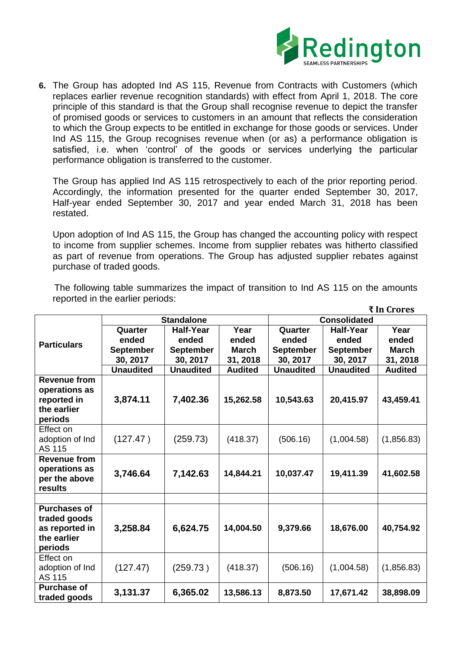

**6.** The Group has adopted Ind AS 115, Revenue from Contracts with Customers (which replaces earlier revenue recognition standards) with effect from April 1, 2018. The core principle of this standard is that the Group shall recognise revenue to depict the transfer of promised goods or services to customers in an amount that reflects the consideration to which the Group expects to be entitled in exchange for those goods or services. Under Ind AS 115, the Group recognises revenue when (or as) a performance obligation is satisfied, i.e. when 'control' of the goods or services underlying the particular performance obligation is transferred to the customer.

The Group has applied Ind AS 115 retrospectively to each of the prior reporting period. Accordingly, the information presented for the quarter ended September 30, 2017, Half-year ended September 30, 2017 and year ended March 31, 2018 has been restated.

Upon adoption of Ind AS 115, the Group has changed the accounting policy with respect to income from supplier schemes. Income from supplier rebates was hitherto classified as part of revenue from operations. The Group has adjusted supplier rebates against purchase of traded goods.

 The following table summarizes the impact of transition to Ind AS 115 on the amounts reported in the earlier periods:

|                                |                   |                  |                | ₹ In Crores         |                  |                |  |
|--------------------------------|-------------------|------------------|----------------|---------------------|------------------|----------------|--|
|                                | <b>Standalone</b> |                  |                | <b>Consolidated</b> |                  |                |  |
| <b>Particulars</b>             | Quarter           | <b>Half-Year</b> | Year           | Quarter             | <b>Half-Year</b> | Year           |  |
|                                | ended             | ended            | ended          | ended               | ended            | ended          |  |
|                                | <b>September</b>  | <b>September</b> | <b>March</b>   | <b>September</b>    | <b>September</b> | <b>March</b>   |  |
|                                | 30, 2017          | 30, 2017         | 31, 2018       | 30, 2017            | 30, 2017         | 31, 2018       |  |
|                                | <b>Unaudited</b>  | <b>Unaudited</b> | <b>Audited</b> | <b>Unaudited</b>    | <b>Unaudited</b> | <b>Audited</b> |  |
| <b>Revenue from</b>            |                   |                  |                |                     |                  |                |  |
| operations as                  |                   |                  |                |                     |                  |                |  |
| reported in                    | 3,874.11          | 7,402.36         | 15,262.58      | 10,543.63           | 20,415.97        | 43,459.41      |  |
| the earlier                    |                   |                  |                |                     |                  |                |  |
| periods                        |                   |                  |                |                     |                  |                |  |
| Effect on                      |                   |                  |                |                     |                  |                |  |
| adoption of Ind                | (127.47)          | (259.73)         | (418.37)       | (506.16)            | (1,004.58)       | (1,856.83)     |  |
| AS 115                         |                   |                  |                |                     |                  |                |  |
| <b>Revenue from</b>            |                   |                  |                |                     |                  |                |  |
| operations as                  | 3,746.64          | 7,142.63         | 14,844.21      | 10,037.47           | 19,411.39        | 41,602.58      |  |
| per the above                  |                   |                  |                |                     |                  |                |  |
| results                        |                   |                  |                |                     |                  |                |  |
| <b>Purchases of</b>            |                   |                  |                |                     |                  |                |  |
|                                |                   |                  |                |                     |                  |                |  |
| traded goods<br>as reported in | 3,258.84          | 6,624.75         | 14,004.50      | 9,379.66            | 18,676.00        | 40,754.92      |  |
| the earlier                    |                   |                  |                |                     |                  |                |  |
| periods                        |                   |                  |                |                     |                  |                |  |
| Effect on                      |                   |                  |                |                     |                  |                |  |
| adoption of Ind                | (127.47)          | (259.73)         | (418.37)       | (506.16)            | (1,004.58)       | (1,856.83)     |  |
| <b>AS 115</b>                  |                   |                  |                |                     |                  |                |  |
| <b>Purchase of</b>             |                   |                  |                |                     |                  |                |  |
| traded goods                   | 3,131.37          | 6,365.02         | 13,586.13      | 8,873.50            | 17,671.42        | 38,898.09      |  |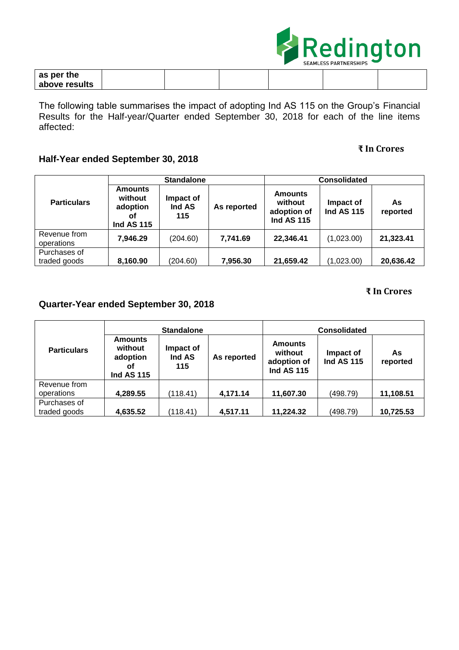

| as per the    |  |  |  |
|---------------|--|--|--|
| above results |  |  |  |

The following table summarises the impact of adopting Ind AS 115 on the Group's Financial Results for the Half-year/Quarter ended September 30, 2018 for each of the line items affected:

## **₹ In Crores**

# **Half-Year ended September 30, 2018**

| <b>Particulars</b>           | <b>Standalone</b>                                                |                            |             | <b>Consolidated</b>                                           |                                |                |
|------------------------------|------------------------------------------------------------------|----------------------------|-------------|---------------------------------------------------------------|--------------------------------|----------------|
|                              | <b>Amounts</b><br>without<br>adoption<br>οf<br><b>Ind AS 115</b> | Impact of<br>Ind AS<br>115 | As reported | <b>Amounts</b><br>without<br>adoption of<br><b>Ind AS 115</b> | Impact of<br><b>Ind AS 115</b> | As<br>reported |
| Revenue from<br>operations   | 7,946.29                                                         | (204.60)                   | 7,741.69    | 22,346.41                                                     | (1,023.00)                     | 21,323.41      |
| Purchases of<br>traded goods | 8,160.90                                                         | (204.60)                   | 7,956.30    | 21,659.42                                                     | (1,023.00)                     | 20,636.42      |

## **₹ In Crores**

# **Quarter-Year ended September 30, 2018**

|                              | <b>Standalone</b>                                                |                            |             | <b>Consolidated</b>                                           |                                |                 |  |
|------------------------------|------------------------------------------------------------------|----------------------------|-------------|---------------------------------------------------------------|--------------------------------|-----------------|--|
| <b>Particulars</b>           | <b>Amounts</b><br>without<br>adoption<br>Οf<br><b>Ind AS 115</b> | Impact of<br>Ind AS<br>115 | As reported | <b>Amounts</b><br>without<br>adoption of<br><b>Ind AS 115</b> | Impact of<br><b>Ind AS 115</b> | As.<br>reported |  |
| Revenue from                 |                                                                  |                            |             |                                                               |                                |                 |  |
| operations                   | 4,289.55                                                         | (118.41)                   | 4,171.14    | 11,607.30                                                     | (498.79)                       | 11,108.51       |  |
| Purchases of<br>traded goods | 4,635.52                                                         | (118.41)                   | 4,517.11    | 11,224.32                                                     | (498.79)                       | 10,725.53       |  |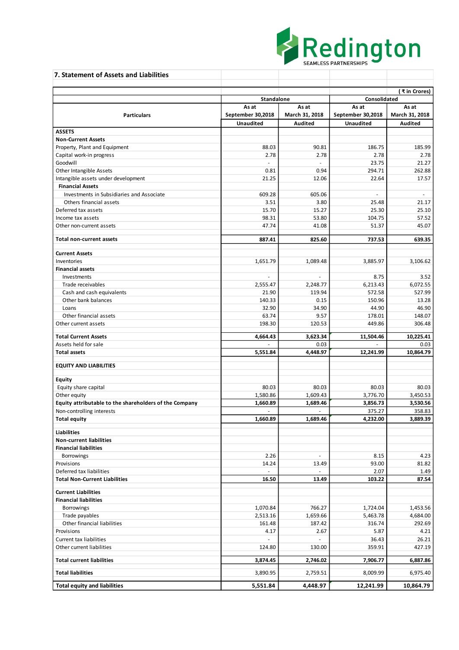

| 7. Statement of Assets and Liabilities                         |                     |                |                   |                |  |
|----------------------------------------------------------------|---------------------|----------------|-------------------|----------------|--|
|                                                                |                     |                |                   | (₹in Crores)   |  |
|                                                                | <b>Standalone</b>   |                | Consolidated      |                |  |
|                                                                | As at               | As at          | As at             | As at          |  |
| <b>Particulars</b>                                             | September 30,2018   | March 31, 2018 | September 30,2018 | March 31, 2018 |  |
|                                                                | <b>Unaudited</b>    | <b>Audited</b> | <b>Unaudited</b>  | Audited        |  |
| <b>ASSETS</b>                                                  |                     |                |                   |                |  |
| <b>Non-Current Assets</b>                                      |                     |                |                   |                |  |
| Property, Plant and Equipment                                  | 88.03               | 90.81          | 186.75            | 185.99         |  |
| Capital work-in progress                                       | 2.78                | 2.78           | 2.78              | 2.78           |  |
| Goodwill                                                       | $\bar{\phantom{a}}$ | $\mathcal{L}$  | 23.75             | 21.27          |  |
| Other Intangible Assets                                        | 0.81                | 0.94           | 294.71            | 262.88         |  |
| Intangible assets under development<br><b>Financial Assets</b> | 21.25               | 12.06          | 22.64             | 17.57          |  |
| Investments in Subsidiaries and Associate                      |                     |                | $\omega$          | $\sim$         |  |
| Others financial assets                                        | 609.28<br>3.51      | 605.06<br>3.80 | 25.48             | 21.17          |  |
| Deferred tax assets                                            | 15.70               | 15.27          | 25.30             | 25.10          |  |
|                                                                | 98.31               | 53.80          | 104.75            |                |  |
| Income tax assets<br>Other non-current assets                  | 47.74               | 41.08          | 51.37             | 57.52<br>45.07 |  |
|                                                                |                     |                |                   |                |  |
| Total non-current assets                                       | 887.41              | 825.60         | 737.53            | 639.35         |  |
| <b>Current Assets</b>                                          |                     |                |                   |                |  |
| Inventories                                                    | 1,651.79            | 1,089.48       | 3,885.97          | 3,106.62       |  |
| <b>Financial assets</b>                                        |                     |                |                   |                |  |
| Investments                                                    | $\omega$            | $\sim$         | 8.75              | 3.52           |  |
| Trade receivables                                              | 2,555.47            | 2,248.77       | 6,213.43          | 6,072.55       |  |
| Cash and cash equivalents                                      | 21.90               | 119.94         | 572.58            | 527.99         |  |
| Other bank balances                                            | 140.33              | 0.15           | 150.96            | 13.28          |  |
| Loans                                                          | 32.90               | 34.90          | 44.90             | 46.90          |  |
| Other financial assets                                         | 63.74               | 9.57           | 178.01            | 148.07         |  |
| Other current assets                                           | 198.30              | 120.53         | 449.86            | 306.48         |  |
| <b>Total Current Assets</b>                                    | 4,664.43            | 3,623.34       | 11,504.46         | 10,225.41      |  |
| Assets held for sale                                           |                     | 0.03           |                   | 0.03           |  |
| <b>Total assets</b>                                            | 5,551.84            | 4,448.97       | 12,241.99         | 10,864.79      |  |
| <b>EQUITY AND LIABILITIES</b>                                  |                     |                |                   |                |  |
|                                                                |                     |                |                   |                |  |
| Equity                                                         |                     |                |                   |                |  |
| Equity share capital                                           | 80.03               | 80.03          | 80.03             | 80.03          |  |
| Other equity                                                   | 1,580.86            | 1,609.43       | 3,776.70          | 3,450.53       |  |
| Equity attributable to the shareholders of the Company         | 1.660.89            | 1,689.46       | 3,856.73          | 3,530.56       |  |
| Non-controlling interests                                      | $\overline{a}$      | $\sim$         | 375.27            | 358.83         |  |
| <b>Total equity</b>                                            | 1,660.89            | 1,689.46       | 4,232.00          | 3,889.39       |  |
| <b>Liabilities</b>                                             |                     |                |                   |                |  |
| <b>Non-current liabilities</b>                                 |                     |                |                   |                |  |
| <b>Financial liabilities</b>                                   |                     |                |                   |                |  |
| <b>Borrowings</b>                                              | 2.26                | $\sim$         | 8.15              | 4.23           |  |
| Provisions                                                     | 14.24               | 13.49          | 93.00             | 81.82          |  |
| Deferred tax liabilities                                       | $\overline{a}$      |                | 2.07              | 1.49           |  |
| <b>Total Non-Current Liabilities</b>                           | 16.50               | 13.49          | 103.22            | 87.54          |  |
| <b>Current Liabilities</b>                                     |                     |                |                   |                |  |
| <b>Financial liabilities</b>                                   |                     |                |                   |                |  |
| <b>Borrowings</b>                                              | 1,070.84            | 766.27         | 1,724.04          | 1,453.56       |  |
| Trade payables                                                 | 2,513.16            | 1,659.66       | 5,463.78          | 4,684.00       |  |
| Other financial liabilities                                    | 161.48              | 187.42         | 316.74            | 292.69         |  |
| Provisions                                                     | 4.17                | 2.67           | 5.87              | 4.21           |  |
| <b>Current tax liabilities</b>                                 |                     |                | 36.43             | 26.21          |  |
| Other current liabilities                                      | 124.80              | 130.00         | 359.91            | 427.19         |  |
| <b>Total current liabilities</b>                               | 3,874.45            | 2,746.02       | 7,906.77          | 6,887.86       |  |
|                                                                |                     |                |                   |                |  |
| <b>Total liabilities</b>                                       | 3,890.95            | 2,759.51       | 8,009.99          | 6,975.40       |  |
| <b>Total equity and liabilities</b>                            | 5,551.84            | 4,448.97       | 12,241.99         | 10,864.79      |  |